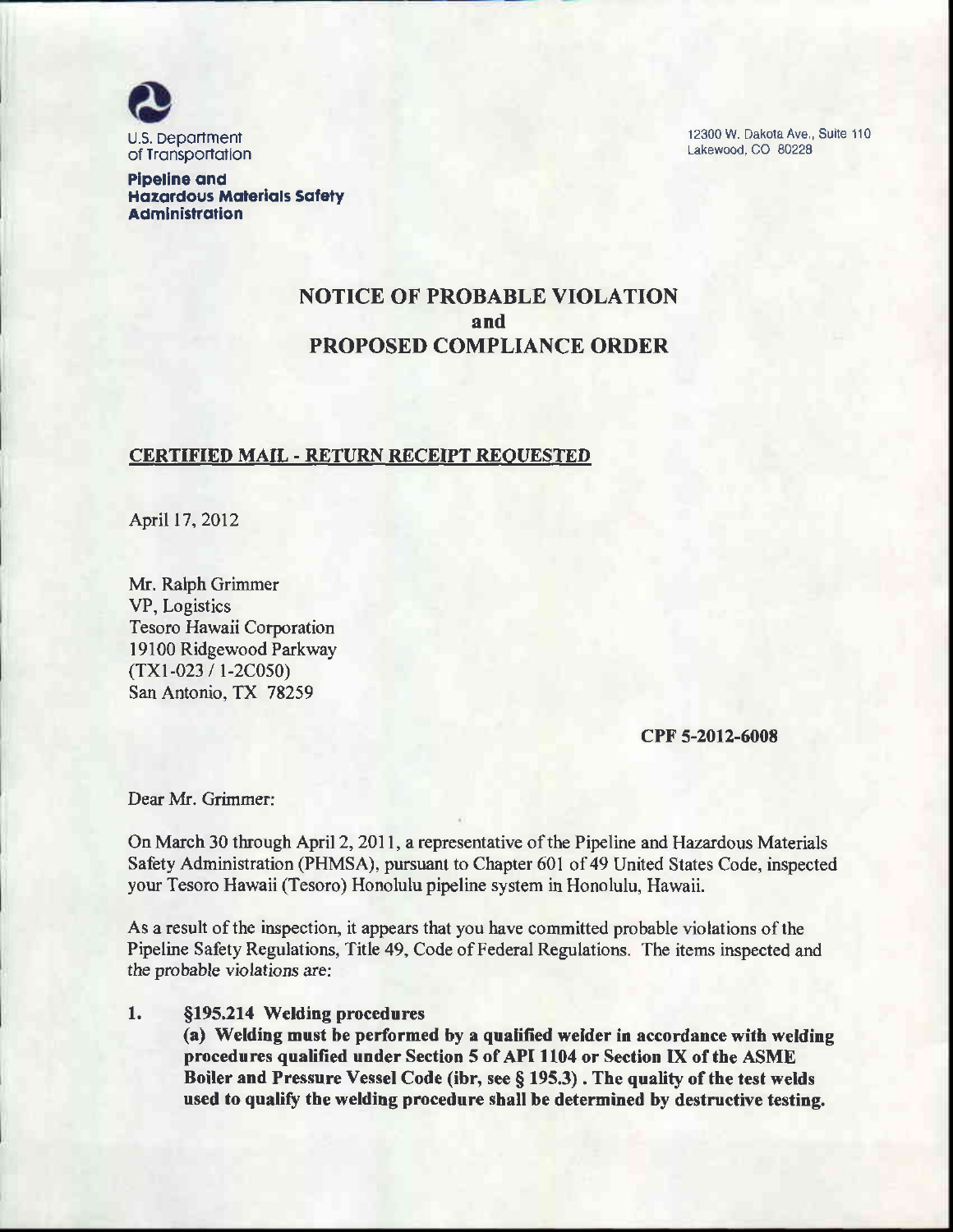

12300 W. Dakota Ave., Suite 110 Lakewood, CO 80228

**Pipeline and Hazardous Materials Safety** Administration

# NOTICE OF PROBABLE VIOLATION and PROPOSED COMPLIANCE ORDER

### CERTIFIED MAIL - RETURN RECEIPT REOUESTED

April 17, 2012

Mr. Ralph Grimmer VP, Logistics Tesoro Hawaii Corporation I 9100 Ridgewood Parkway (TXl-023 / 1-2C050) San Antonio, TX 78259

cPr'5-2012-6008

Dear Mr. Grimmer:

On March 30 through April 2, 2011, a representative of the Pipeline and Hazardous Materials Safety Administration (PHMSA), pursuant to Chapter 601 of 49 United States Code, inspected your Tesoro Hawaii (Tesoro) Honolulu pipeline system in Honolulu, Hawaii.

As a result of the inspection, it appears that you have committed probable violations of the Pipeline Safety Regulations, Title 49, Code of Federal Regulations. The items inspected and the probable violations are:

#### 1. Sf95,214 Welding procedures

(a) Wetding must be performed by a qualified welder in accordance with welding procedures qualified under Section 5 of API 1104 or Section IX of the ASME Boiler and Pressure Vessel Code (ibr, see § 195.3). The quality of the test welds used to qualify thc welding procedure shall be determined by destructive testing.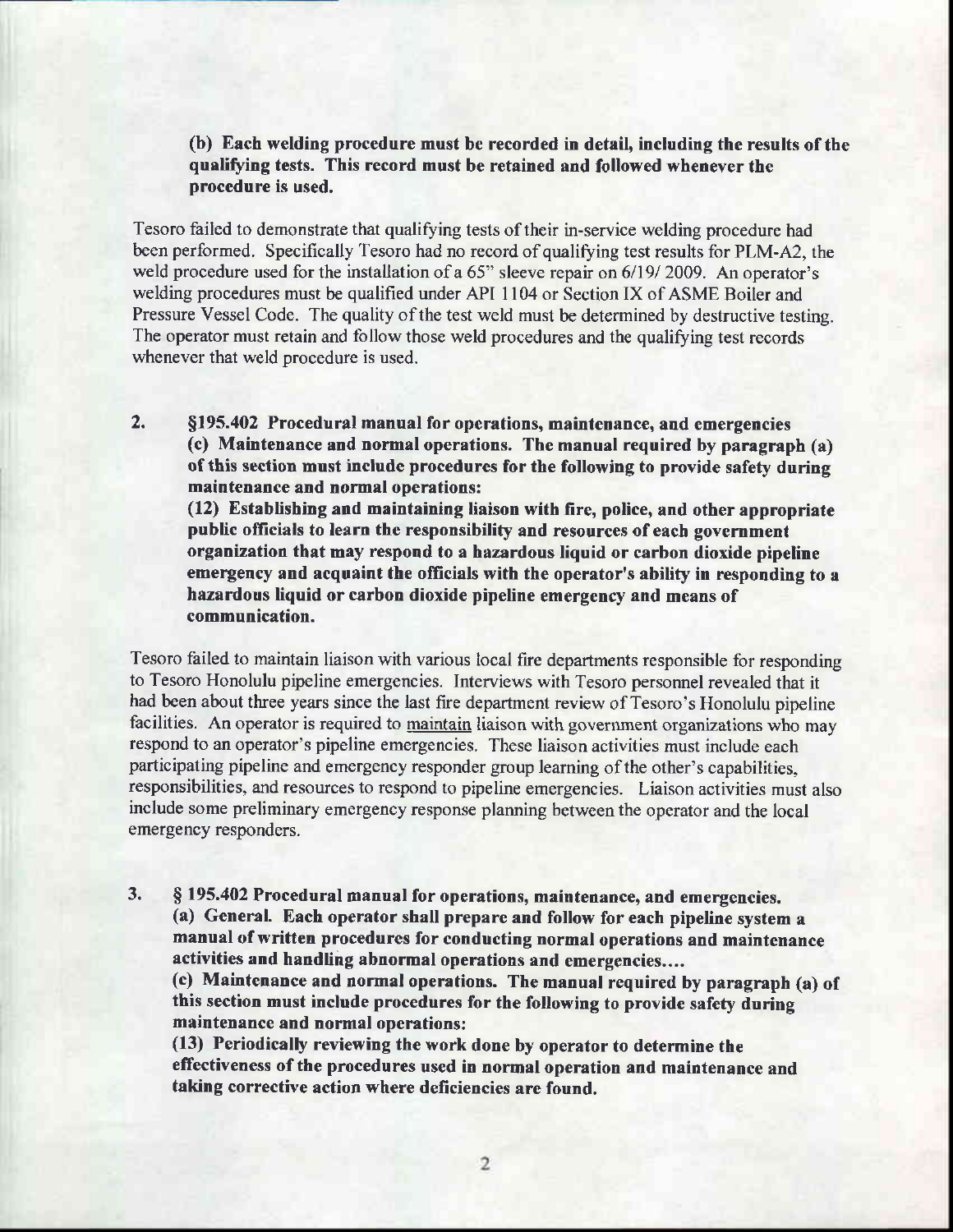(b) Each welding procedure rnust be recorded in detail, including the results of the qualifying tests. This record must be retained and followed whenever the procedure is used.

Tesoro failed to demonstrate that qualifying tests oftheir in-service welding procedure had been performed. Specifically Tesoro had no record of qualifying test results for PLM-A2, the weld procedure used for the installation of a 65" sleeve repair on 6/19/ 2009. An operator's welding procedures must be qualified under API 1104 or Section IX of ASME Boiler and Pressure Vessel Code. The quality of the test weld must be determined by destructive testing. The operator must retain and follow those weld procedures and the qualifying test records whenever that weld procedure is used.

2. Sf95.402 Procedural manual for operations, maintenance, and emergencies (c) Maintenance and normal operations. The manual required by paragreph (a) of this section must include procedures for the following to provide safety during maintenance and normal operations: (12) Establishing and maintaining liaison with fire, police, and other appropriate public officials to learn the responsibility and resources of each government organization that may respond to a hazardous liquid or carbon dioxide pipeline

emergency and acquaint the officials with the operator's ability in responding to a hazardous liquid or carbon dioxide pipeline emergency and means of communication.

Tesoro failed to maintain liaison with various local fire departments responsible for responding to Tesoro Honolulu pipeline emergencies. Interviews with Tesoro personnel revealed that it had been about three years since the last fire department review of Tesoro's Honolulu pipeline facilities. An operator is required to maintain liaison with government organizations who may respond to an operator's pipeline emergencies. These liaison activities must include each participating pipeline and emergency responder group learning of the other's capabilities, responsibilities, and resources to respond to pipeline emergencies. Liaison activities must also include some preliminary emergency response planning between the operator and the local emergency responders.

3. \$ f95.402 Procedural manual for operations, maintenance, and emergencies. (a) General. Each operator shall prepare and follow for each pipeline system a manual of written procedures for conducting normal operations and maintenance activities and handling abnormal operations and emergencies.... (c) Maintenance and normal operations. The manual required by paragraph (a) of this section must include procedures for the following to provide safety during

maintenance and normal operations:

(13) Periodically reviewing the work done by operator to determine the effectiveness of the procedures used in normal operation and maintenance and taking corrective action where deficiencies are found.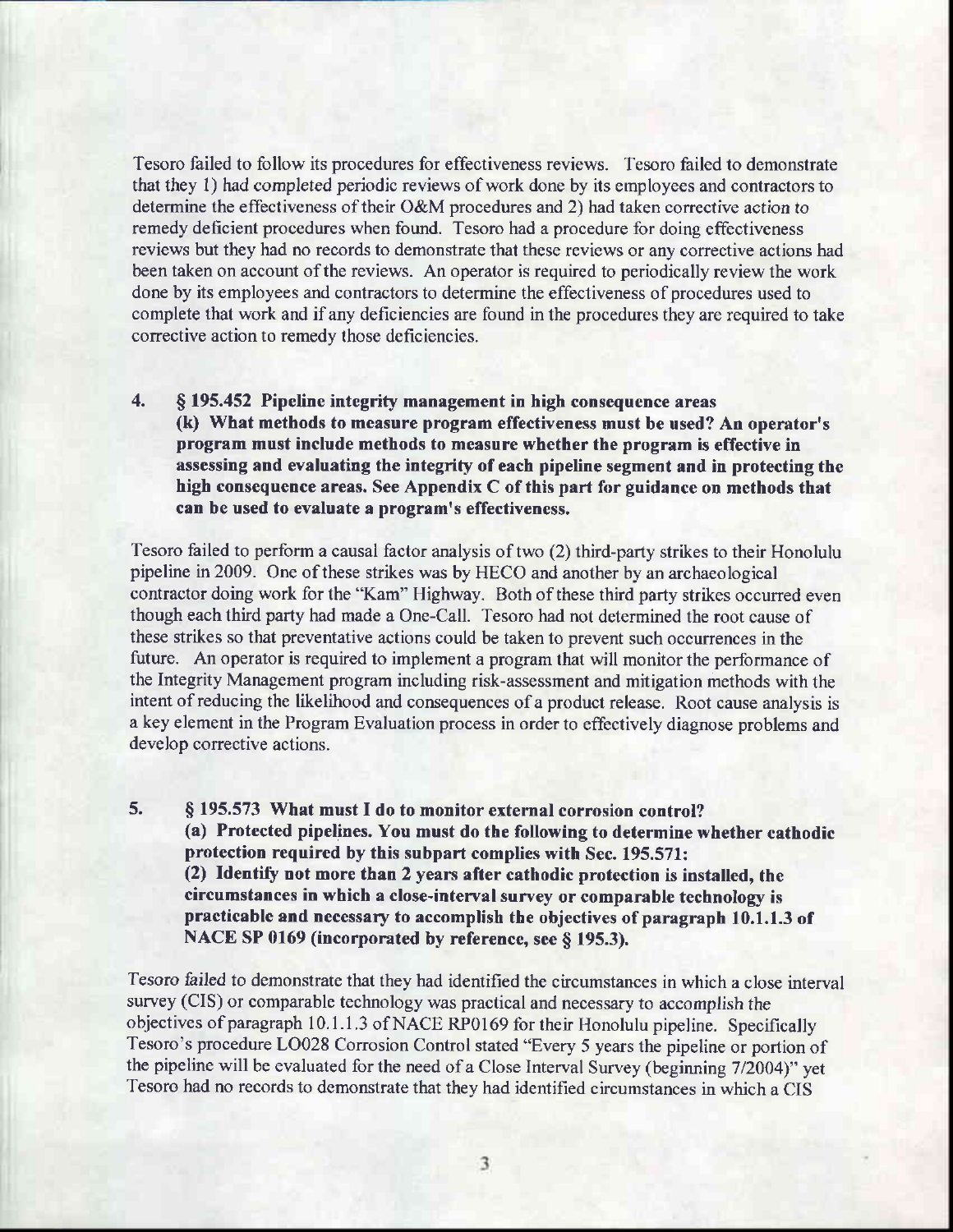Tesoro failed to follow its procedures for effectiveness reviews. Tesoro failed to demonstrate that they 1) had completed periodic reviews of work done by its employees and contractors to determine the effectiveness of their O&M procedures and 2) had taken corrective action to remedy deficient procedures when found. Tesoro had a procedure for doing effectiveness reviews but they had no records to demonstrate that these reviews or any corrective actions had been taken on account of the reviews. An operator is required to periodically review the work done by its employees and contractors to determine the effectiveness of procedures used to complete that work and if any deficiencies are found in the procedures they are required to take corrective action to remedy those deficiencies.

4. \$ f95.452 Pipeline integrity management in high consequence areas (k) What methods to measure program effectiveness must be used? An operator's program must include methods to measure whether the program is effective in assessing and evaluating the integrity of each pipeline segment and in protecting the high consequence areas. See Appendix  $C$  of this part for guidance on methods that can be used to evaluate a program's effectiveness.

Tesoro failed to perform a causal factor analysis of two (2) third-party strikes to their Honolulu pipeline in 2009. One ofthese strikes was by HECO and another by an archaeological contractor doing work for the "Kam" Highway. Both of these third party strikes occurred even though each third party had made a One-Call. Tesoro had not determined the root cause of these strikes so that preventative actions could be taken to prevent such occurrences in the future. An operator is required to implement a program that will monitor the performance of the Integrity Management program including risk-assessment and mitigation methods with the intent of reducing the likelihood and consequences of a product release. Root cause analysis is a key element in the Program Evaluation process in order to effectively diagnose problems and develop corrective actions.

5. § 195.573 What must I do to monitor external corrosion control? (a) Protected pipelines. You must do the following to determine whether cathodic protection required by this subpart complies with Sec. 195.571: (2) Identify not more than 2 years after cathodic protection is installed, the circumstances in which a close-interval survey or comparable technology is practicable and necessary to accomplish the objectives of paragraph 10.1.1.3 of NACE SP 0169 (incorporated by reference, see § 195.3).

Tesoro failed to demonstrate that they had identified the circumstances in which a close interval survey (CIS) or comparable technology was practical and necessary to accomplish the objectives of paragraph 10.1.1.3 of NACE RP0169 for their Honolulu pipeline. Specifically Tesoro's procedure LO028 Corrosion Control stated "Every 5 years the pipeline or portion of the pipeline will be evaluated for the need of a Close Interval Survey (beginning 7/2004)" yet Tesoro had no records to demonstrate that they had identified circumstances in which a CIS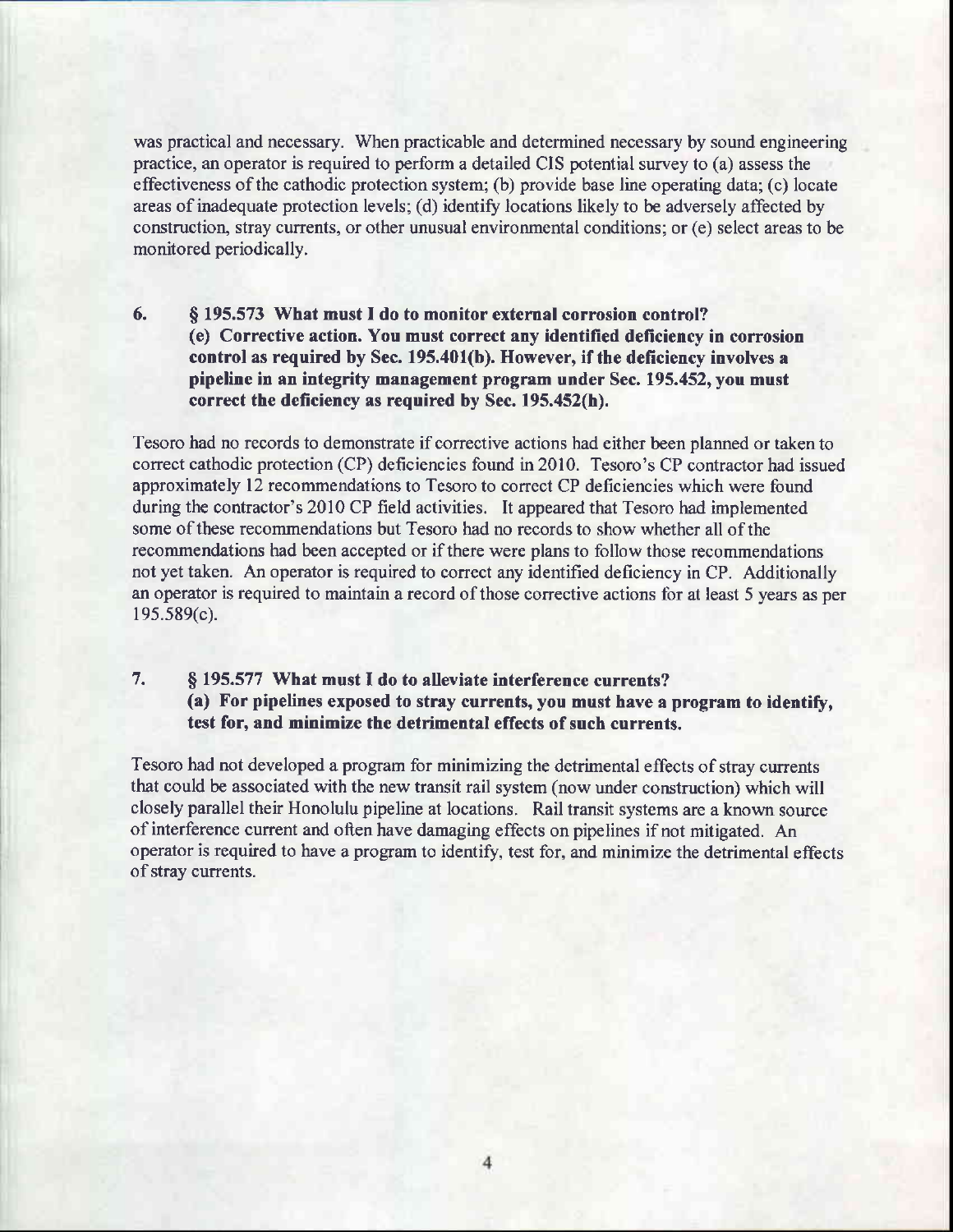was practical and necessary. When practicable and determined necessary by sound engineering practice, an operator is required to perform a detailed CIS potential survey to (a) assess the effectiveness of the cathodic protection system; (b) provide base line operating data; (c) locate areas of inadequate protection levels; (d) identify locations likely to be adversely affected by construction, stray currents, or other unusual environmental conditions; or (e) select areas to be monitored periodically.

6. \$ 195.573 What must I do to monitor external corrosion control? (e) Corrective action. You must correct any identified deficiency in corrosion control as required by Sec. 195.401(b). However, if the deficiency involves a pipeline in an integrity management program under Sec. 195.452, you must correct the deficiency as required by Sec. 195.452(h).

Tesoro had no records to demonstrate if corrective actions had either been planned or taken to correct cathodic protection (CP) deficiencies found in 2010. Tesoro's CP contractor had issued approximately 12 recommendations to Tesoro to conect CP deficiencies which were found during the contractor's 2010 CP field activities. It appeared that Tesoro had implemented some of these recommendations but Tesoro had no records to show whether all of the recommendations had been accepted or if there were plans to follow those recommendations not yet taken. An operator is required to correct any identified deficiency in CP. Additionally an operator is required to maintain a record of those corrective actions for at least 5 years as per 195.589(c).

## 7. \$ 195.577 What must I do to alleviate interference currents? (a) For pipelines exposed to stray currents, you must have a program to identify, test for, and minimize the detrimental effects of such currents.

Tesoro had not developed aprogram for minimizing the detrimental effects of stray currents that could be associated with the new transit rail system (now under construction) which will closely parallel their Honolulu pipeline at locations. Rail transit systems are a known source of interference current and often have damaging effects on pipelines if not mitigated. An operator is required to have a program to identify, test for, and minimize the detrimental effects of stray currents.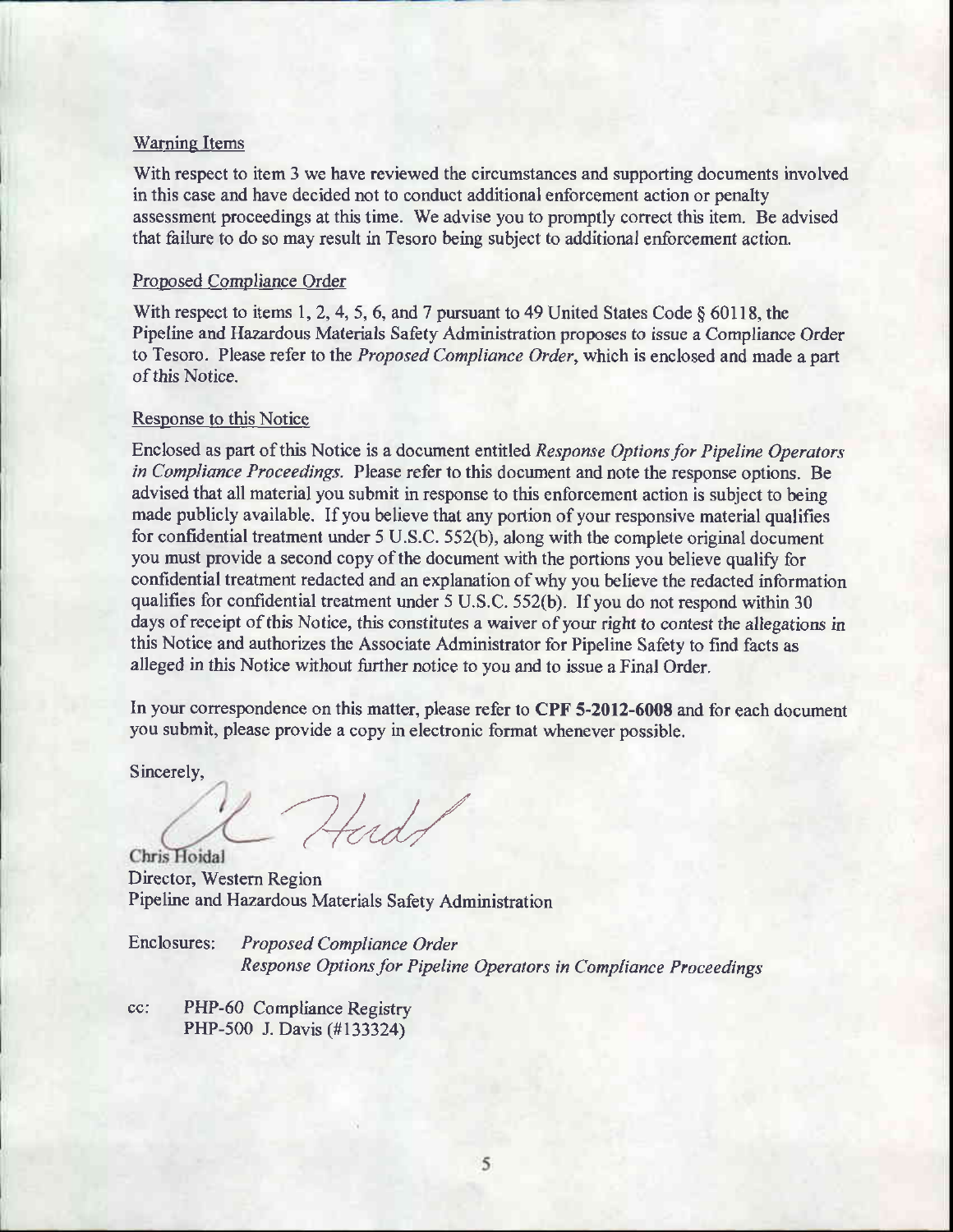#### Warning Items

With respect to item 3 we have reviewed the circumstances and supporting documents involved in this case and have decided not to conduct additional enforcement action or penalty assessment proceedings at this time. We advise you to promptly conect this item. Be advised that failure to do so may result in Tesoro being subject to additional enforcement action.

#### Proposed Compliance Order

With respect to items 1, 2, 4, 5, 6, and 7 pursuant to 49 United States Code  $\S$  60118, the Pipeline and Hazardous Materials Safety Administration proposes to issue a Compliance Order to Tesoro. Please refer to the Proposed Compliance Order, which is enclosed and made a part of this Notice.

#### Response to this Notice

Enclosed as part of this Notice is a document entitled Response Options for Pipeline Operators in Compliance Proceedings. Please refer to this document and note the response options. Be advised that all material you submit in response to this enforcement action is subject to being made publicly available. If you believe that any portion of your responsive material qualifies for confidential treatment under 5 U.S.C. 552(b), along with the complete original document you must provide a second copy of the document with the portions you believe qualify for confidential treatment redacted and an explanation ofwhy you believe the redacted information qualifies for confidential treatment under 5 U.S.C. 552(b). If you do not respond within 30 days of receipt of this Notice, this constitutes a waiver of your right to contest the allegations in this Notice and authorizes the Associate Administrator for Pipeline Safety to find facts as alleged in this Notice without further notice to you and to issue a Final Order.

In your correspondence on this matter, please refer to CPF 5-2012-6008 and for each document you submit, please provide a copy in electronic format whenever possible.

Sincerely,

'7/.// Chris Hoidal

Director, Westem Region Pipeline and Hazardous Materials Safety Administration

Enclosures: Proposed Compliance Order Response Options for Pipeline Operators in Compliance Proceedings

cc: PHP-60 Compliance Registry PHP-500 J. Davis (#133324)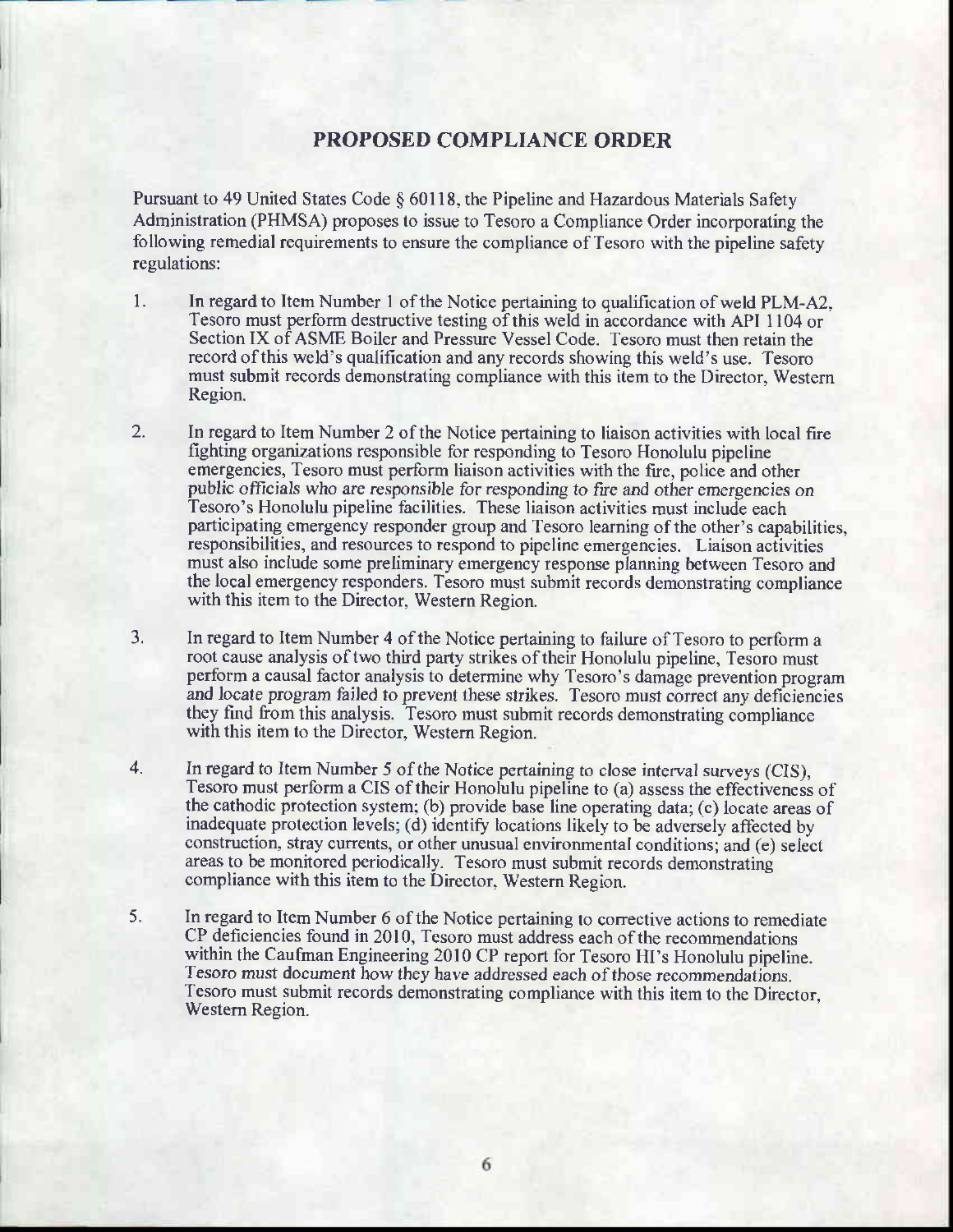## PROPOSED COMPLIANCE ORDER

Pursuant to 49 United States Code § 60118, the Pipeline and Hazardous Materials Safety Administration (PHMSA) proposes to issue to Tesoro a Compliance Order incorporating the following remedial requirements to ensure the compliance of Tesoro with the pipeline safety regulations:

- 1. In regard to Item Number I of the Notice pertaining to qualification of weld PLM-A2, Tesoro must perform destructive testing of this weld in accordance with API 1104 or Section IX of ASME Boiler and Pressure Vessel Code. Tesoro must then retain the record ofthis weld's qualification and any records showing this weld's use. Tesoro must submit records demonstrating compliance with this item to the Director, Westem Region.
- 2. In regard to Item Number 2 of the Notice pertaining to liaison activities with local fire fighting organizations responsible for responding to Tesoro Honolulu pipeline emergencies, Tesoro must perform liaison activities with the fue, police and other public officials who are responsible for responding to fire and other emergencies on Tesoro's Honolulu pipeline facilities. These liaison activities must include each participating emergency responder group and Tesoro learning of the other's capabilities, responsibilities, and resources to respond to pipeline emergencies. Liaison acfivities must also include some preliminary emergency response planning between Tesoro and the local emergency responders. Tesoro must submit records demonstrating compliance with this item to the Director, Western Region.
- 3. In regard to Item Number 4 of the Notice pertaining to failure of Tesoro to perform a root cause analysis of two third party strikes of their Honolulu pipeline, Tesoro must perform a causal factor analysis to determine why Tesoro's damage prevention program and locate program failed to prevent these strikes. Tesoro must correct any deficiencies they find from this analysis. Tesoro must submit records demonstrating compliance with this item to the Director, Western Region.
- 4. In regard to Item Number 5 of the Notice pertaining to close interval surveys (CIS), Tesoro must perform a CIS oftheir Honolulu pipeline to (a) assess the effectiveness of the cathodic protection system; (b) provide base line operating data; (c) locate areas of inadequate protection levels; (d) identify locations likely to be adversely affected by construction, stray currents, or other unusual environrnental conditions; and (e) select areas to be monitored periodically. Tesoro must submit records demonstrating compliance with this item to the Director, Western Region
- 5. In regard to Item Number 6 of the Notice pertaining to corrective actions to remediate CP deficiencies found in 2010, Tesoro must address each of the recommendations within the Caufman Engineering 2010 CP report for Tesoro HI's Honolulu pipeline. Tesoro must document how they have addressed each of those recommendations. Tesoro must submit records demonstrating compliance with this item to the Director, Western Region.